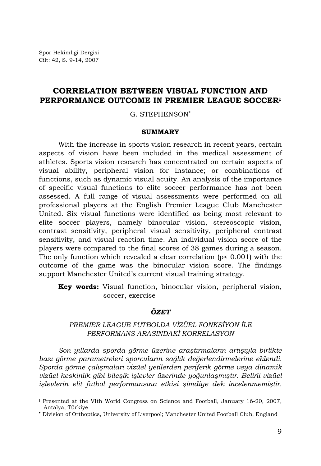l

# **CORRELATION BETWEEN VISUAL FUNCTION AND PERFORMANCE OUTCOME IN PREMIER LEAGUE SOCCER‡**

G. STEPHENSON<sup>∗</sup>

### **SUMMARY**

With the increase in sports vision research in recent years, certain aspects of vision have been included in the medical assessment of athletes. Sports vision research has concentrated on certain aspects of visual ability, peripheral vision for instance; or combinations of functions, such as dynamic visual acuity. An analysis of the importance of specific visual functions to elite soccer performance has not been assessed. A full range of visual assessments were performed on all professional players at the English Premier League Club Manchester United. Six visual functions were identified as being most relevant to elite soccer players, namely binocular vision, stereoscopic vision, contrast sensitivity, peripheral visual sensitivity, peripheral contrast sensitivity, and visual reaction time. An individual vision score of the players were compared to the final scores of 38 games during a season. The only function which revealed a clear correlation  $(p < 0.001)$  with the outcome of the game was the binocular vision score. The findings support Manchester United's current visual training strategy.

**Key words:** Visual function, binocular vision, peripheral vision, soccer, exercise

### *ÖZET*

# *PREMIER LEAGUE FUTBOLDA VİZÜEL FONKSİYON İLE PERFORMANS ARASINDAKİ KORRELASYON*

*Son yıllarda sporda görme üzerine araştırmaların artışıyla birlikte bazı görme parametreleri sporcuların sağlık değerlendirmelerine eklendi. Sporda görme çalışmaları vizüel yetilerden periferik görme veya dinamik vizüel keskinlik gibi bileşik işlevler üzerinde yoğunlaşmıştır. Belirli vizüel işlevlerin elit futbol performansına etkisi şimdiye dek incelenmemiştir.* 

**<sup>‡</sup>** Presented at the VIth World Congress on Science and Football, January 16-20, 2007, Antalya, Türkiye

<sup>∗</sup> Division of Orthoptics, University of Liverpool; Manchester United Football Club, England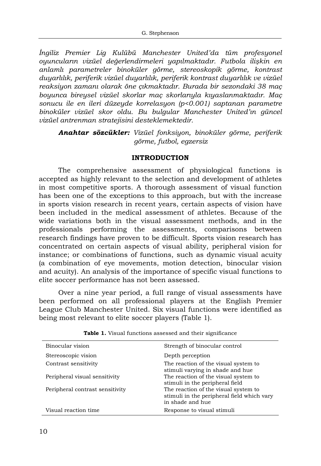*İngiliz Premier Lig Kulübü Manchester United'da tüm profesyonel oyuncuların vizüel değerlendirmeleri yapılmaktadır. Futbola ilişkin en anlamlı parametreler binoküler görme, stereoskopik görme, kontrast duyarlılık, periferik vizüel duyarlılık, periferik kontrast duyarlılık ve vizüel reaksiyon zamanı olarak öne çıkmaktadır. Burada bir sezondaki 38 maç boyunca bireysel vizüel skorlar maç skorlarıyla kıyaslanmaktadır. Maç sonucu ile en ileri düzeyde korrelasyon (p<0.001) saptanan parametre binoküler vizüel skor oldu. Bu bulgular Manchester United'ın güncel vizüel antrenman stratejisini desteklemektedir.*

*Anahtar sözcükler: Vizüel fonksiyon, binoküler görme, periferik görme, futbol, egzersiz* 

## **INTRODUCTION**

The comprehensive assessment of physiological functions is accepted as highly relevant to the selection and development of athletes in most competitive sports. A thorough assessment of visual function has been one of the exceptions to this approach, but with the increase in sports vision research in recent years, certain aspects of vision have been included in the medical assessment of athletes. Because of the wide variations both in the visual assessment methods, and in the professionals performing the assessments, comparisons between research findings have proven to be difficult. Sports vision research has concentrated on certain aspects of visual ability, peripheral vision for instance; or combinations of functions, such as dynamic visual acuity (a combination of eye movements, motion detection, binocular vision and acuity). An analysis of the importance of specific visual functions to elite soccer performance has not been assessed.

Over a nine year period, a full range of visual assessments have been performed on all professional players at the English Premier League Club Manchester United. Six visual functions were identified as being most relevant to elite soccer players (Table 1).

| Binocular vision                | Strength of binocular control                                                                          |
|---------------------------------|--------------------------------------------------------------------------------------------------------|
| Stereoscopic vision             | Depth perception                                                                                       |
| Contrast sensitivity            | The reaction of the visual system to<br>stimuli varying in shade and hue                               |
| Peripheral visual sensitivity   | The reaction of the visual system to<br>stimuli in the peripheral field                                |
| Peripheral contrast sensitivity | The reaction of the visual system to<br>stimuli in the peripheral field which vary<br>in shade and hue |
| Visual reaction time            | Response to visual stimuli                                                                             |

**Table 1.** Visual functions assessed and their significance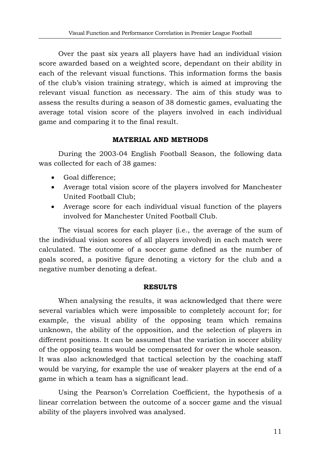Over the past six years all players have had an individual vision score awarded based on a weighted score, dependant on their ability in each of the relevant visual functions. This information forms the basis of the club's vision training strategy, which is aimed at improving the relevant visual function as necessary. The aim of this study was to assess the results during a season of 38 domestic games, evaluating the average total vision score of the players involved in each individual game and comparing it to the final result.

### **MATERIAL AND METHODS**

During the 2003-04 English Football Season, the following data was collected for each of 38 games:

- Goal difference;
- Average total vision score of the players involved for Manchester United Football Club;
- Average score for each individual visual function of the players involved for Manchester United Football Club.

The visual scores for each player (i.e., the average of the sum of the individual vision scores of all players involved) in each match were calculated. The outcome of a soccer game defined as the number of goals scored, a positive figure denoting a victory for the club and a negative number denoting a defeat.

### **RESULTS**

When analysing the results, it was acknowledged that there were several variables which were impossible to completely account for; for example, the visual ability of the opposing team which remains unknown, the ability of the opposition, and the selection of players in different positions. It can be assumed that the variation in soccer ability of the opposing teams would be compensated for over the whole season. It was also acknowledged that tactical selection by the coaching staff would be varying, for example the use of weaker players at the end of a game in which a team has a significant lead.

Using the Pearson's Correlation Coefficient, the hypothesis of a linear correlation between the outcome of a soccer game and the visual ability of the players involved was analysed.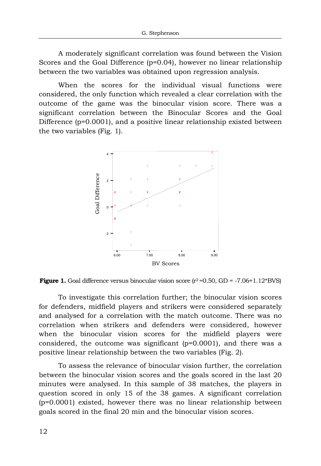A moderately significant correlation was found between the Vision Scores and the Goal Difference (p=0.04), however no linear relationship between the two variables was obtained upon regression analysis.

When the scores for the individual visual functions were considered, the only function which revealed a clear correlation with the outcome of the game was the binocular vision score. There was a significant correlation between the Binocular Scores and the Goal Difference (p=0.0001), and a positive linear relationship existed between the two variables (Fig. 1).



**Figure 1.** Goal difference versus binocular vision score  $(r^2=0.50, GD = -7.06+1.12*BVS)$ 

To investigate this correlation further; the binocular vision scores for defenders, midfield players and strikers were considered separately and analysed for a correlation with the match outcome. There was no correlation when strikers and defenders were considered, however when the binocular vision scores for the midfield players were considered, the outcome was significant (p=0.0001), and there was a positive linear relationship between the two variables (Fig. 2).

To assess the relevance of binocular vision further, the correlation between the binocular vision scores and the goals scored in the last 20 minutes were analysed. In this sample of 38 matches, the players in question scored in only 15 of the 38 games. A significant correlation (p=0.0001) existed, however there was no linear relationship between goals scored in the final 20 min and the binocular vision scores.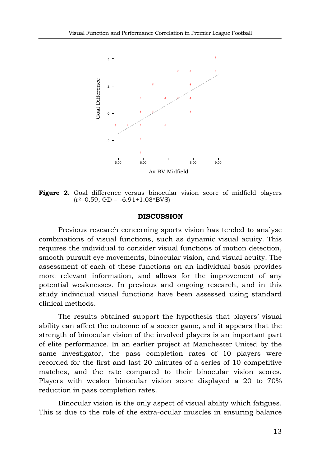

**Figure 2.** Goal difference versus binocular vision score of midfield players  $(r^2=0.59, GD = -6.91+1.08*BVS)$ 

#### **DISCUSSION**

Previous research concerning sports vision has tended to analyse combinations of visual functions, such as dynamic visual acuity. This requires the individual to consider visual functions of motion detection, smooth pursuit eye movements, binocular vision, and visual acuity. The assessment of each of these functions on an individual basis provides more relevant information, and allows for the improvement of any potential weaknesses. In previous and ongoing research, and in this study individual visual functions have been assessed using standard clinical methods.

The results obtained support the hypothesis that players' visual ability can affect the outcome of a soccer game, and it appears that the strength of binocular vision of the involved players is an important part of elite performance. In an earlier project at Manchester United by the same investigator, the pass completion rates of 10 players were recorded for the first and last 20 minutes of a series of 10 competitive matches, and the rate compared to their binocular vision scores. Players with weaker binocular vision score displayed a 20 to 70% reduction in pass completion rates.

Binocular vision is the only aspect of visual ability which fatigues. This is due to the role of the extra-ocular muscles in ensuring balance